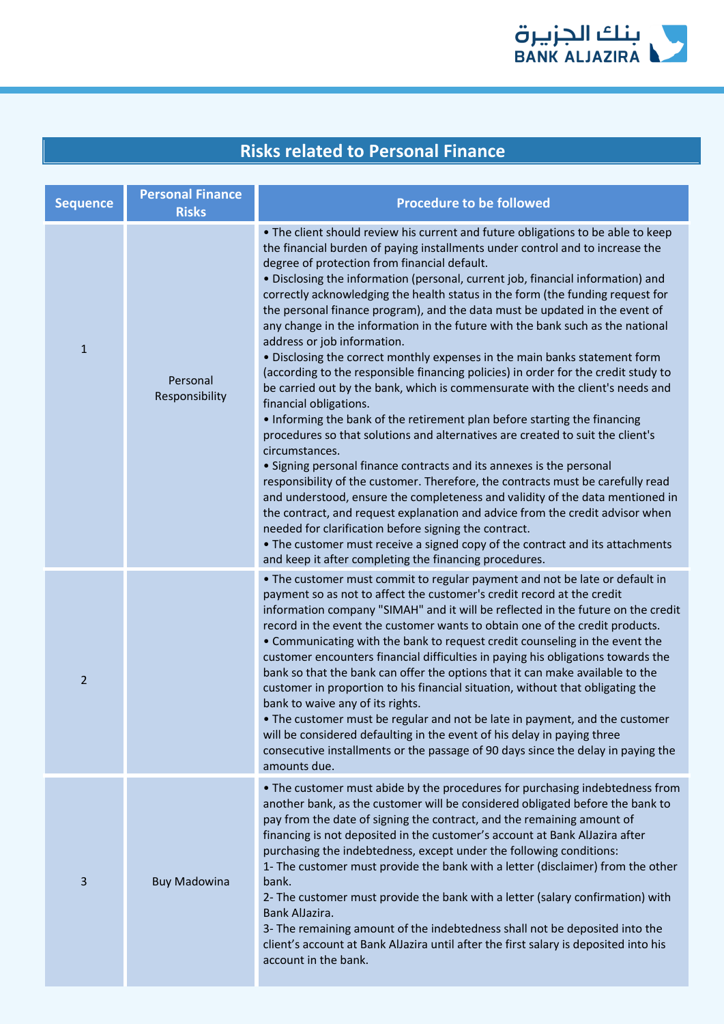

| <b>Sequence</b> | <b>Personal Finance</b><br><b>Risks</b> | <b>Procedure to be followed</b>                                                                                                                                                                                                                                                                                                                                                                                                                                                                                                                                                                                                                                                                                                                                                                                                                                                                                                                                                                                                                                                                                                                                                                                                                                                                                                                                                                                                                                                                                                                                                         |
|-----------------|-----------------------------------------|-----------------------------------------------------------------------------------------------------------------------------------------------------------------------------------------------------------------------------------------------------------------------------------------------------------------------------------------------------------------------------------------------------------------------------------------------------------------------------------------------------------------------------------------------------------------------------------------------------------------------------------------------------------------------------------------------------------------------------------------------------------------------------------------------------------------------------------------------------------------------------------------------------------------------------------------------------------------------------------------------------------------------------------------------------------------------------------------------------------------------------------------------------------------------------------------------------------------------------------------------------------------------------------------------------------------------------------------------------------------------------------------------------------------------------------------------------------------------------------------------------------------------------------------------------------------------------------------|
| $\mathbf 1$     | Personal<br>Responsibility              | . The client should review his current and future obligations to be able to keep<br>the financial burden of paying installments under control and to increase the<br>degree of protection from financial default.<br>• Disclosing the information (personal, current job, financial information) and<br>correctly acknowledging the health status in the form (the funding request for<br>the personal finance program), and the data must be updated in the event of<br>any change in the information in the future with the bank such as the national<br>address or job information.<br>. Disclosing the correct monthly expenses in the main banks statement form<br>(according to the responsible financing policies) in order for the credit study to<br>be carried out by the bank, which is commensurate with the client's needs and<br>financial obligations.<br>. Informing the bank of the retirement plan before starting the financing<br>procedures so that solutions and alternatives are created to suit the client's<br>circumstances.<br>• Signing personal finance contracts and its annexes is the personal<br>responsibility of the customer. Therefore, the contracts must be carefully read<br>and understood, ensure the completeness and validity of the data mentioned in<br>the contract, and request explanation and advice from the credit advisor when<br>needed for clarification before signing the contract.<br>• The customer must receive a signed copy of the contract and its attachments<br>and keep it after completing the financing procedures. |
| $\overline{2}$  |                                         | . The customer must commit to regular payment and not be late or default in<br>payment so as not to affect the customer's credit record at the credit<br>information company "SIMAH" and it will be reflected in the future on the credit<br>record in the event the customer wants to obtain one of the credit products.<br>• Communicating with the bank to request credit counseling in the event the<br>customer encounters financial difficulties in paying his obligations towards the<br>bank so that the bank can offer the options that it can make available to the<br>customer in proportion to his financial situation, without that obligating the<br>bank to waive any of its rights.<br>• The customer must be regular and not be late in payment, and the customer<br>will be considered defaulting in the event of his delay in paying three<br>consecutive installments or the passage of 90 days since the delay in paying the<br>amounts due.                                                                                                                                                                                                                                                                                                                                                                                                                                                                                                                                                                                                                       |
| 3               | <b>Buy Madowina</b>                     | • The customer must abide by the procedures for purchasing indebtedness from<br>another bank, as the customer will be considered obligated before the bank to<br>pay from the date of signing the contract, and the remaining amount of<br>financing is not deposited in the customer's account at Bank AlJazira after<br>purchasing the indebtedness, except under the following conditions:<br>1- The customer must provide the bank with a letter (disclaimer) from the other<br>bank.<br>2- The customer must provide the bank with a letter (salary confirmation) with<br>Bank AlJazira.<br>3- The remaining amount of the indebtedness shall not be deposited into the<br>client's account at Bank AlJazira until after the first salary is deposited into his<br>account in the bank.                                                                                                                                                                                                                                                                                                                                                                                                                                                                                                                                                                                                                                                                                                                                                                                            |